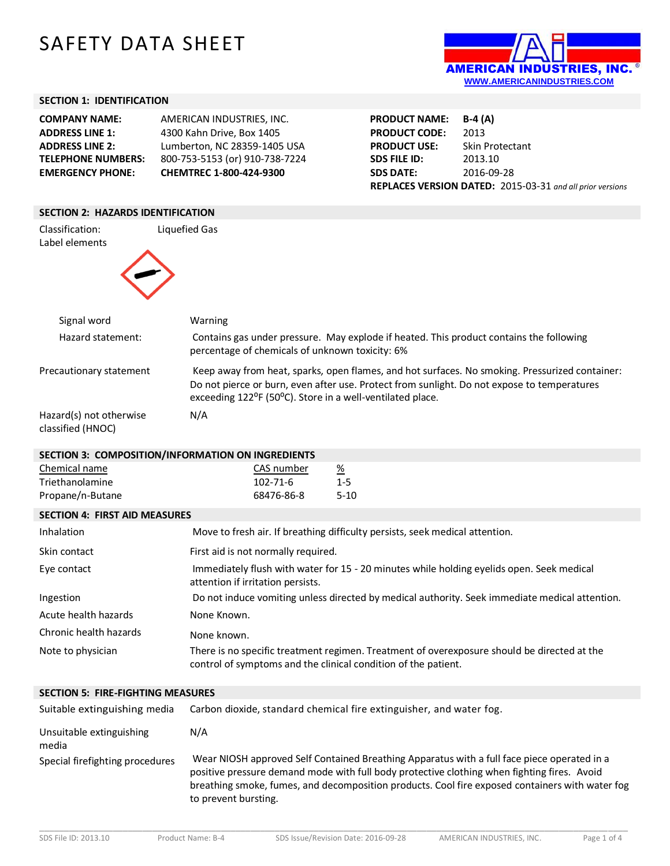# SAFETY DATA SHEET



## **SECTION 1: IDENTIFICATION**

| AMERICAN INDUSTRIES. INC.      |
|--------------------------------|
| 4300 Kahn Drive, Box 1405      |
| Lumberton, NC 28359-1405 USA   |
| 800-753-5153 (or) 910-738-7224 |
| CHEMTREC 1-800-424-9300        |
|                                |

| <b>PRODUCT NAME:</b> | $B-4(A)$                                                  |
|----------------------|-----------------------------------------------------------|
| <b>PRODUCT CODE:</b> | 2013                                                      |
| <b>PRODUCT USE:</b>  | Skin Protectant                                           |
| <b>SDS FILE ID:</b>  | 2013.10                                                   |
| <b>SDS DATE:</b>     | 2016-09-28                                                |
|                      | REPLACES VERSION DATED: 2015-03-31 and all prior versions |

#### **SECTION 2: HAZARDS IDENTIFICATION**

| Classification:<br>Label elements            | Liquefied Gas                                                                                                                                                                                                                                                                        |
|----------------------------------------------|--------------------------------------------------------------------------------------------------------------------------------------------------------------------------------------------------------------------------------------------------------------------------------------|
| Signal word                                  | Warning                                                                                                                                                                                                                                                                              |
| Hazard statement:                            | Contains gas under pressure. May explode if heated. This product contains the following<br>percentage of chemicals of unknown toxicity: 6%                                                                                                                                           |
| Precautionary statement                      | Keep away from heat, sparks, open flames, and hot surfaces. No smoking. Pressurized container:<br>Do not pierce or burn, even after use. Protect from sunlight. Do not expose to temperatures<br>exceeding 122 <sup>o</sup> F (50 <sup>o</sup> C). Store in a well-ventilated place. |
| Hazard(s) not otherwise<br>classified (HNOC) | N/A                                                                                                                                                                                                                                                                                  |

### **SECTION 3: COMPOSITION/INFORMATION ON INGREDIENTS**

| Chemical name    | CAS number | <u>%</u> |
|------------------|------------|----------|
| Triethanolamine  | 102-71-6   | $1-5$    |
| Propane/n-Butane | 68476-86-8 | $5-10$   |

## **SECTION 4: FIRST AID MEASURES**

| Inhalation             | Move to fresh air. If breathing difficulty persists, seek medical attention.                                                                                  |
|------------------------|---------------------------------------------------------------------------------------------------------------------------------------------------------------|
| Skin contact           | First aid is not normally required.                                                                                                                           |
| Eye contact            | Immediately flush with water for 15 - 20 minutes while holding eyelids open. Seek medical<br>attention if irritation persists.                                |
| Ingestion              | Do not induce vomiting unless directed by medical authority. Seek immediate medical attention.                                                                |
| Acute health hazards   | None Known.                                                                                                                                                   |
| Chronic health hazards | None known.                                                                                                                                                   |
| Note to physician      | There is no specific treatment regimen. Treatment of overexposure should be directed at the<br>control of symptoms and the clinical condition of the patient. |

## **SECTION 5: FIRE-FIGHTING MEASURES**

| Suitable extinguishing media      | Carbon dioxide, standard chemical fire extinguisher, and water fog.                                                                                                                                                                                                                                                   |
|-----------------------------------|-----------------------------------------------------------------------------------------------------------------------------------------------------------------------------------------------------------------------------------------------------------------------------------------------------------------------|
| Unsuitable extinguishing<br>media | N/A                                                                                                                                                                                                                                                                                                                   |
| Special firefighting procedures   | Wear NIOSH approved Self Contained Breathing Apparatus with a full face piece operated in a<br>positive pressure demand mode with full body protective clothing when fighting fires. Avoid<br>breathing smoke, fumes, and decomposition products. Cool fire exposed containers with water fog<br>to prevent bursting. |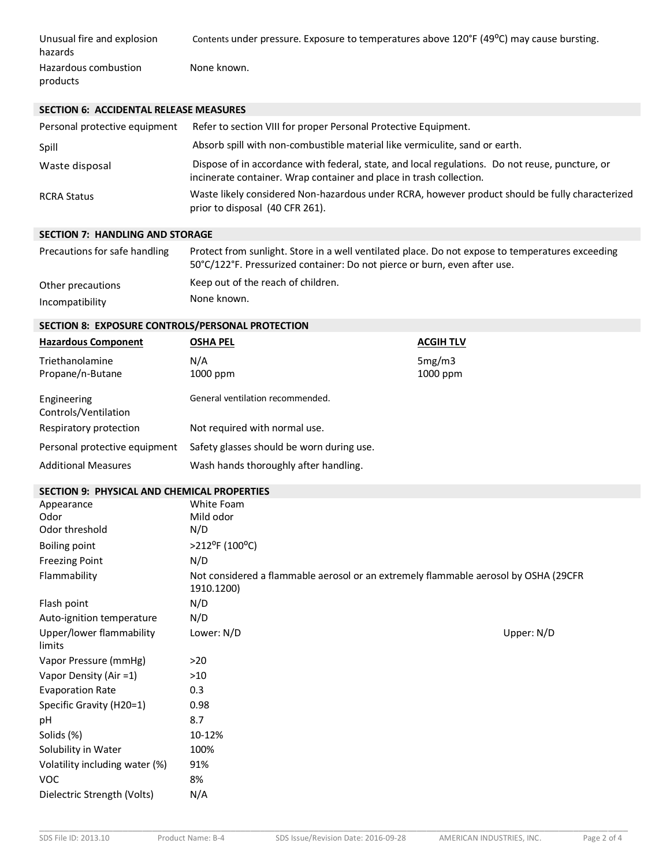| Unusual fire and explosion<br>hazards | Contents under pressure. Exposure to temperatures above 120°F (49°C) may cause bursting. |
|---------------------------------------|------------------------------------------------------------------------------------------|
| Hazardous combustion                  | None known.                                                                              |
| products                              |                                                                                          |

## **SECTION 6: ACCIDENTAL RELEASE MEASURES**

| Personal protective equipment | Refer to section VIII for proper Personal Protective Equipment.                                                                                                        |
|-------------------------------|------------------------------------------------------------------------------------------------------------------------------------------------------------------------|
| Spill                         | Absorb spill with non-combustible material like vermiculite, sand or earth.                                                                                            |
| Waste disposal                | Dispose of in accordance with federal, state, and local regulations. Do not reuse, puncture, or<br>incinerate container. Wrap container and place in trash collection. |
| <b>RCRA Status</b>            | Waste likely considered Non-hazardous under RCRA, however product should be fully characterized<br>prior to disposal (40 CFR 261).                                     |

## **SECTION 7: HANDLING AND STORAGE**

| Precautions for safe handling | Protect from sunlight. Store in a well ventilated place. Do not expose to temperatures exceeding<br>50°C/122°F. Pressurized container: Do not pierce or burn, even after use. |
|-------------------------------|-------------------------------------------------------------------------------------------------------------------------------------------------------------------------------|
| Other precautions             | Keep out of the reach of children.                                                                                                                                            |
| Incompatibility               | None known.                                                                                                                                                                   |

## **SECTION 8: EXPOSURE CONTROLS/PERSONAL PROTECTION**

| <b>Hazardous Component</b>          | <b>OSHA PEL</b>                           | <b>ACGIH TLV</b>   |
|-------------------------------------|-------------------------------------------|--------------------|
| Triethanolamine<br>Propane/n-Butane | N/A<br>1000 ppm                           | 5mg/m3<br>1000 ppm |
| Engineering<br>Controls/Ventilation | General ventilation recommended.          |                    |
| Respiratory protection              | Not required with normal use.             |                    |
| Personal protective equipment       | Safety glasses should be worn during use. |                    |
| <b>Additional Measures</b>          | Wash hands thoroughly after handling.     |                    |

# **SECTION 9: PHYSICAL AND CHEMICAL PROPERTIES**

| Appearance                         | White Foam                                                                                        |            |
|------------------------------------|---------------------------------------------------------------------------------------------------|------------|
| Odor                               | Mild odor                                                                                         |            |
| Odor threshold                     | N/D                                                                                               |            |
| <b>Boiling point</b>               | >212°F (100°C)                                                                                    |            |
| <b>Freezing Point</b>              | N/D                                                                                               |            |
| Flammability                       | Not considered a flammable aerosol or an extremely flammable aerosol by OSHA (29CFR<br>1910.1200) |            |
| Flash point                        | N/D                                                                                               |            |
| Auto-ignition temperature          | N/D                                                                                               |            |
| Upper/lower flammability<br>limits | Lower: N/D                                                                                        | Upper: N/D |
| Vapor Pressure (mmHg)              | >20                                                                                               |            |
| Vapor Density (Air =1)             | $>10$                                                                                             |            |
| <b>Evaporation Rate</b>            | 0.3                                                                                               |            |
| Specific Gravity (H20=1)           | 0.98                                                                                              |            |
| рH                                 | 8.7                                                                                               |            |
| Solids (%)                         | 10-12%                                                                                            |            |
| Solubility in Water                | 100%                                                                                              |            |
| Volatility including water (%)     | 91%                                                                                               |            |
| <b>VOC</b>                         | 8%                                                                                                |            |
| Dielectric Strength (Volts)        | N/A                                                                                               |            |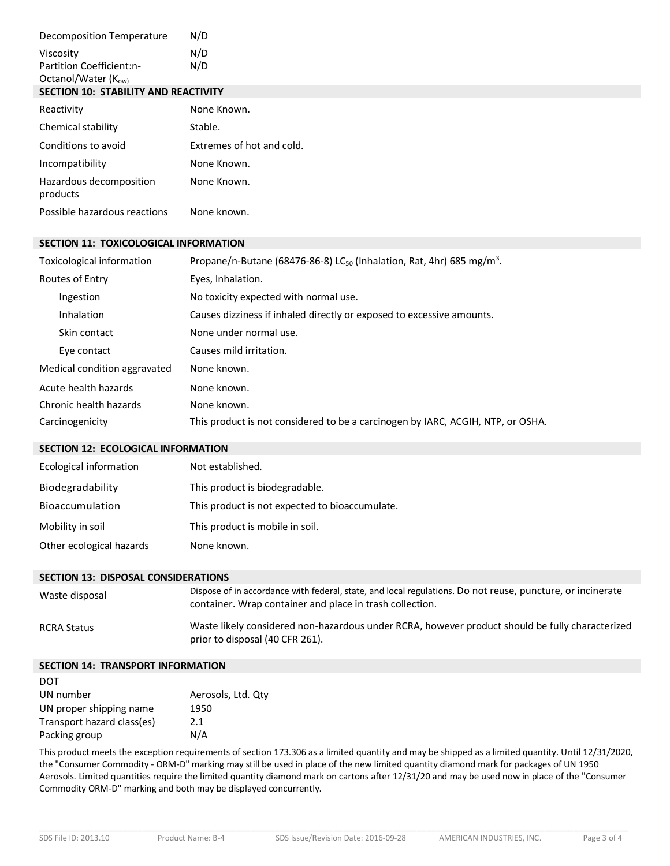| Decomposition Temperature                   | N/D                       |
|---------------------------------------------|---------------------------|
| Viscosity                                   | N/D                       |
| Partition Coefficient:n-                    | N/D                       |
| Octanol/Water (K <sub>ow)</sub>             |                           |
| <b>SECTION 10: STABILITY AND REACTIVITY</b> |                           |
| Reactivity                                  | None Known.               |
| Chemical stability                          | Stable.                   |
| Conditions to avoid                         | Extremes of hot and cold. |
| Incompatibility                             | None Known.               |
| Hazardous decomposition<br>products         | None Known.               |
| Possible hazardous reactions                | None known.               |

### **SECTION 11: TOXICOLOGICAL INFORMATION**

| Toxicological information    | Propane/n-Butane (68476-86-8) LC <sub>50</sub> (Inhalation, Rat, 4hr) 685 mg/m <sup>3</sup> . |
|------------------------------|-----------------------------------------------------------------------------------------------|
| Routes of Entry              | Eyes, Inhalation.                                                                             |
| Ingestion                    | No toxicity expected with normal use.                                                         |
| <b>Inhalation</b>            | Causes dizziness if inhaled directly or exposed to excessive amounts.                         |
| Skin contact                 | None under normal use.                                                                        |
| Eye contact                  | Causes mild irritation.                                                                       |
| Medical condition aggravated | None known.                                                                                   |
| Acute health hazards         | None known.                                                                                   |
| Chronic health hazards       | None known.                                                                                   |
| Carcinogenicity              | This product is not considered to be a carcinogen by IARC, ACGIH, NTP, or OSHA.               |

## **SECTION 12: ECOLOGICAL INFORMATION**

| Ecological information   | Not established.                               |
|--------------------------|------------------------------------------------|
| Biodegradability         | This product is biodegradable.                 |
| <b>Bioaccumulation</b>   | This product is not expected to bioaccumulate. |
| Mobility in soil         | This product is mobile in soil.                |
| Other ecological hazards | None known.                                    |

#### **SECTION 13: DISPOSAL CONSIDERATIONS**

| Waste disposal | Dispose of in accordance with federal, state, and local regulations. Do not reuse, puncture, or incinerate<br>container. Wrap container and place in trash collection. |
|----------------|------------------------------------------------------------------------------------------------------------------------------------------------------------------------|
| RCRA Status    | Waste likely considered non-hazardous under RCRA, however product should be fully characterized<br>prior to disposal (40 CFR 261).                                     |

#### **SECTION 14: TRANSPORT INFORMATION**

| <b>DOT</b>                 |                    |
|----------------------------|--------------------|
| UN number                  | Aerosols, Ltd. Qty |
| UN proper shipping name    | 1950               |
| Transport hazard class(es) | 2.1                |
| Packing group              | N/A                |

This product meets the exception requirements of section 173.306 as a limited quantity and may be shipped as a limited quantity. Until 12/31/2020, the "Consumer Commodity - ORM-D" marking may still be used in place of the new limited quantity diamond mark for packages of UN 1950 Aerosols. Limited quantities require the limited quantity diamond mark on cartons after 12/31/20 and may be used now in place of the "Consumer Commodity ORM-D" marking and both may be displayed concurrently.